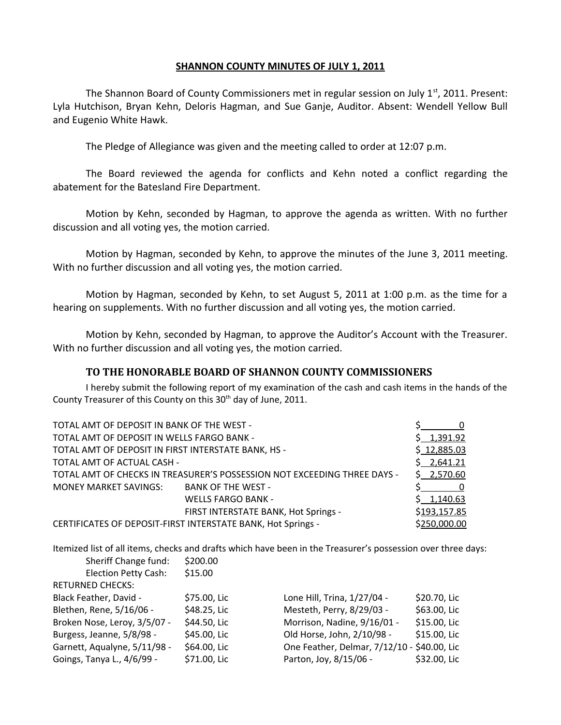## **SHANNON COUNTY MINUTES OF JULY 1, 2011**

The Shannon Board of County Commissioners met in regular session on July  $1^{st}$ , 2011. Present: Lyla Hutchison, Bryan Kehn, Deloris Hagman, and Sue Ganje, Auditor. Absent: Wendell Yellow Bull and Eugenio White Hawk.

The Pledge of Allegiance was given and the meeting called to order at 12:07 p.m.

The Board reviewed the agenda for conflicts and Kehn noted a conflict regarding the abatement for the Batesland Fire Department.

Motion by Kehn, seconded by Hagman, to approve the agenda as written. With no further discussion and all voting yes, the motion carried.

Motion by Hagman, seconded by Kehn, to approve the minutes of the June 3, 2011 meeting. With no further discussion and all voting yes, the motion carried.

Motion by Hagman, seconded by Kehn, to set August 5, 2011 at 1:00 p.m. as the time for a hearing on supplements. With no further discussion and all voting yes, the motion carried.

Motion by Kehn, seconded by Hagman, to approve the Auditor's Account with the Treasurer. With no further discussion and all voting yes, the motion carried.

# **TO THE HONORABLE BOARD OF SHANNON COUNTY COMMISSIONERS**

I hereby submit the following report of my examination of the cash and cash items in the hands of the County Treasurer of this County on this 30<sup>th</sup> day of June, 2011.

| TOTAL AMT OF DEPOSIT IN BANK OF THE WEST -                               |                                                              |              |
|--------------------------------------------------------------------------|--------------------------------------------------------------|--------------|
| TOTAL AMT OF DEPOSIT IN WELLS FARGO BANK -                               |                                                              | \$1,391.92   |
| TOTAL AMT OF DEPOSIT IN FIRST INTERSTATE BANK, HS -                      |                                                              | \$12,885.03  |
| TOTAL AMT OF ACTUAL CASH -                                               |                                                              | \$2,641.21   |
| TOTAL AMT OF CHECKS IN TREASURER'S POSSESSION NOT EXCEEDING THREE DAYS - |                                                              | \$2,570.60   |
| MONEY MARKET SAVINGS:                                                    | <b>BANK OF THE WEST -</b>                                    |              |
|                                                                          | <b>WELLS FARGO BANK -</b>                                    | \$1,140.63   |
|                                                                          | FIRST INTERSTATE BANK, Hot Springs -                         | \$193,157.85 |
|                                                                          | CERTIFICATES OF DEPOSIT-FIRST INTERSTATE BANK, Hot Springs - | \$250,000.00 |

Itemized list of all items, checks and drafts which have been in the Treasurer's possession over three days:

| Sheriff Change fund:         | \$200.00     |                                             |              |
|------------------------------|--------------|---------------------------------------------|--------------|
| <b>Election Petty Cash:</b>  | \$15.00      |                                             |              |
| <b>RETURNED CHECKS:</b>      |              |                                             |              |
| Black Feather, David -       | \$75.00, Lic | Lone Hill, Trina, 1/27/04 -                 | \$20.70, Lic |
| Blethen, Rene, 5/16/06 -     | \$48.25, Lic | Mesteth, Perry, 8/29/03 -                   | \$63.00, Lic |
| Broken Nose, Leroy, 3/5/07 - | \$44.50, Lic | Morrison, Nadine, 9/16/01 -                 | \$15.00, Lic |
| Burgess, Jeanne, 5/8/98 -    | \$45.00, Lic | Old Horse, John, 2/10/98 -                  | \$15.00, Lic |
| Garnett, Aqualyne, 5/11/98 - | \$64.00, Lic | One Feather, Delmar, 7/12/10 - \$40.00, Lic |              |
| Goings, Tanya L., 4/6/99 -   | \$71.00, Lic | Parton, Joy, 8/15/06 -                      | \$32.00, Lic |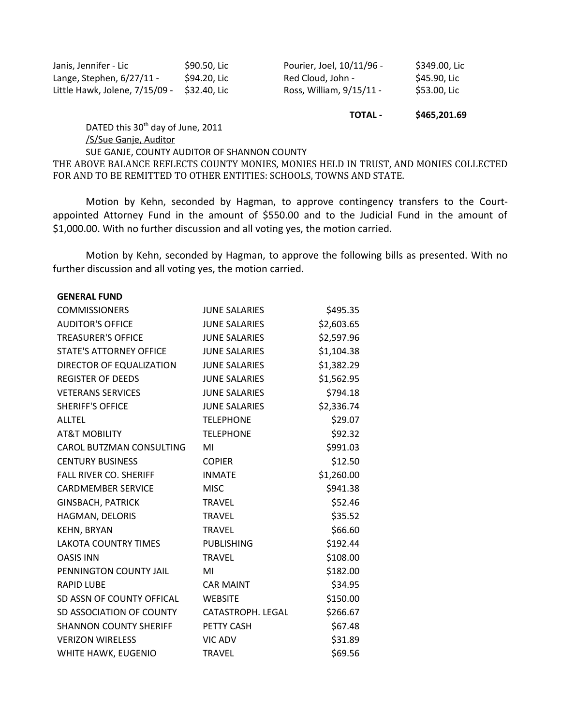| Janis, Jennifer - Lic          | \$90.50, Lic | Pourier, Joel, 10/11/96 - | \$349.00, Lic |
|--------------------------------|--------------|---------------------------|---------------|
| Lange, Stephen, 6/27/11 -      | \$94.20. Lic | - Red Cloud. John         | \$45.90. Lic  |
| Little Hawk, Jolene, 7/15/09 - | S32.40. Lic  | Ross, William, 9/15/11 -  | \$53.00, Lic  |

## **TOTAL - \$465,201.69**

DATED this 30<sup>th</sup> day of June, 2011

### /S/Sue Ganje, Auditor

SUE GANJE, COUNTY AUDITOR OF SHANNON COUNTY

THE ABOVE BALANCE REFLECTS COUNTY MONIES, MONIES HELD IN TRUST, AND MONIES COLLECTED FOR AND TO BE REMITTED TO OTHER ENTITIES: SCHOOLS, TOWNS AND STATE.

Motion by Kehn, seconded by Hagman, to approve contingency transfers to the Courtappointed Attorney Fund in the amount of \$550.00 and to the Judicial Fund in the amount of \$1,000.00. With no further discussion and all voting yes, the motion carried.

Motion by Kehn, seconded by Hagman, to approve the following bills as presented. With no further discussion and all voting yes, the motion carried.

#### **GENERAL FUND**

| <b>COMMISSIONERS</b>           | <b>JUNE SALARIES</b> | \$495.35   |
|--------------------------------|----------------------|------------|
| <b>AUDITOR'S OFFICE</b>        | <b>JUNE SALARIES</b> | \$2,603.65 |
| <b>TREASURER'S OFFICE</b>      | <b>JUNE SALARIES</b> | \$2,597.96 |
| <b>STATE'S ATTORNEY OFFICE</b> | <b>JUNE SALARIES</b> | \$1,104.38 |
| DIRECTOR OF EQUALIZATION       | <b>JUNE SALARIES</b> | \$1,382.29 |
| <b>REGISTER OF DEEDS</b>       | <b>JUNE SALARIES</b> | \$1,562.95 |
| <b>VETERANS SERVICES</b>       | <b>JUNE SALARIES</b> | \$794.18   |
| <b>SHERIFF'S OFFICE</b>        | <b>JUNE SALARIES</b> | \$2,336.74 |
| <b>ALLTEL</b>                  | <b>TELEPHONE</b>     | \$29.07    |
| <b>AT&amp;T MOBILITY</b>       | <b>TELEPHONE</b>     | \$92.32    |
| CAROL BUTZMAN CONSULTING       | MI                   | \$991.03   |
| <b>CENTURY BUSINESS</b>        | <b>COPIER</b>        | \$12.50    |
| <b>FALL RIVER CO. SHERIFF</b>  | <b>INMATE</b>        | \$1,260.00 |
| <b>CARDMEMBER SERVICE</b>      | <b>MISC</b>          | \$941.38   |
| <b>GINSBACH, PATRICK</b>       | <b>TRAVEL</b>        | \$52.46    |
| HAGMAN, DELORIS                | <b>TRAVEL</b>        | \$35.52    |
| KEHN, BRYAN                    | <b>TRAVEL</b>        | \$66.60    |
| <b>LAKOTA COUNTRY TIMES</b>    | <b>PUBLISHING</b>    | \$192.44   |
| <b>OASIS INN</b>               | <b>TRAVEL</b>        | \$108.00   |
| PENNINGTON COUNTY JAIL         | MI                   | \$182.00   |
| <b>RAPID LUBE</b>              | <b>CAR MAINT</b>     | \$34.95    |
| SD ASSN OF COUNTY OFFICAL      | <b>WEBSITE</b>       | \$150.00   |
| SD ASSOCIATION OF COUNTY       | CATASTROPH. LEGAL    | \$266.67   |
| <b>SHANNON COUNTY SHERIFF</b>  | PETTY CASH           | \$67.48    |
| <b>VERIZON WIRELESS</b>        | <b>VIC ADV</b>       | \$31.89    |
| WHITE HAWK, EUGENIO            | <b>TRAVEL</b>        | \$69.56    |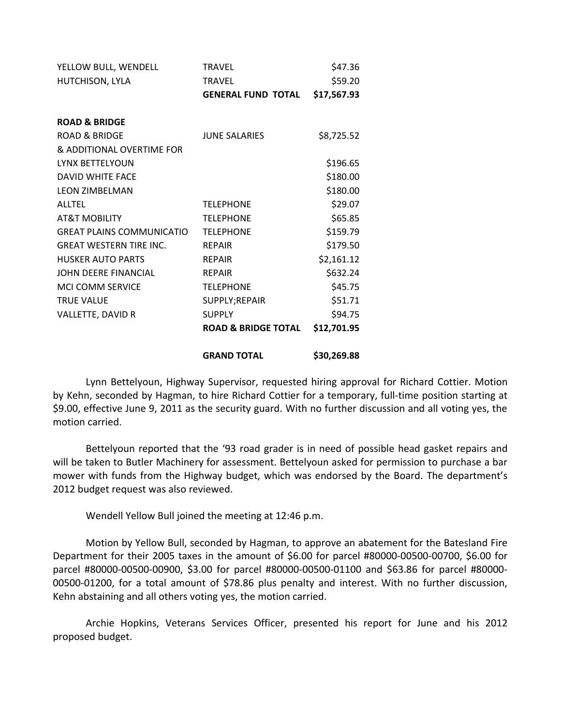| YELLOW BULL, WENDELL             | <b>TRAVEL</b>                  | \$47.36     |
|----------------------------------|--------------------------------|-------------|
| HUTCHISON, LYLA                  | <b>TRAVEL</b>                  | \$59.20     |
|                                  | <b>GENERAL FUND TOTAL</b>      | \$17,567.93 |
| <b>ROAD &amp; BRIDGE</b>         |                                |             |
| <b>ROAD &amp; BRIDGE</b>         | <b>JUNE SALARIES</b>           | \$8,725.52  |
| & ADDITIONAL OVERTIME FOR        |                                |             |
| LYNX BETTELYOUN                  |                                | \$196.65    |
| <b>DAVID WHITE FACE</b>          |                                | \$180.00    |
| <b>LEON ZIMBELMAN</b>            |                                | \$180.00    |
| <b>ALLTEL</b>                    | <b>TELEPHONE</b>               | \$29.07     |
| <b>AT&amp;T MOBILITY</b>         | <b>TELEPHONE</b>               | \$65.85     |
| <b>GREAT PLAINS COMMUNICATIO</b> | <b>TELEPHONE</b>               | \$159.79    |
| <b>GREAT WESTERN TIRE INC.</b>   | <b>REPAIR</b>                  | \$179.50    |
| <b>HUSKER AUTO PARTS</b>         | <b>REPAIR</b>                  | \$2,161.12  |
| JOHN DEERE FINANCIAL             | <b>REPAIR</b>                  | \$632.24    |
| MCI COMM SERVICE                 | <b>TELEPHONE</b>               | \$45.75     |
| <b>TRUE VALUE</b>                | SUPPLY;REPAIR                  | \$51.71     |
| VALLETTE, DAVID R                | <b>SUPPLY</b>                  | \$94.75     |
|                                  | <b>ROAD &amp; BRIDGE TOTAL</b> | \$12,701.95 |
|                                  | <b>GRAND TOTAL</b>             | \$30,269.88 |

Lynn Bettelyoun, Highway Supervisor, requested hiring approval for Richard Cottier. Motion by Kehn, seconded by Hagman, to hire Richard Cottier for a temporary, full-time position starting at \$9.00, effective June 9, 2011 as the security guard. With no further discussion and all voting yes, the motion carried.

Bettelyoun reported that the '93 road grader is in need of possible head gasket repairs and will be taken to Butler Machinery for assessment. Bettelyoun asked for permission to purchase a bar mower with funds from the Highway budget, which was endorsed by the Board. The department's 2012 budget request was also reviewed.

Wendell Yellow Bull joined the meeting at 12:46 p.m.

Motion by Yellow Bull, seconded by Hagman, to approve an abatement for the Batesland Fire Department for their 2005 taxes in the amount of \$6.00 for parcel #80000-00500-00700, \$6.00 for parcel #80000-00500-00900, \$3.00 for parcel #80000-00500-01100 and \$63.86 for parcel #80000- 00500-01200, for a total amount of \$78.86 plus penalty and interest. With no further discussion, Kehn abstaining and all others voting yes, the motion carried.

Archie Hopkins, Veterans Services Officer, presented his report for June and his 2012 proposed budget.